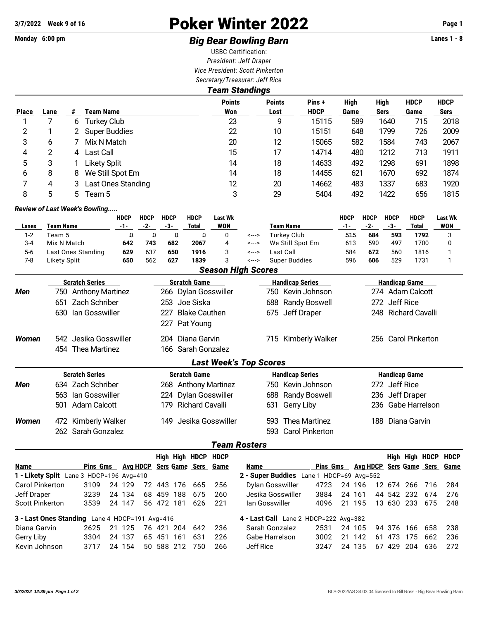# **3/7/2022** Week 9 of 16 **Poker Winter 2022** Page 1

## Monday 6:00 pm **Big Bear Bowling Barn Barn** Lanes 1 - 8

USBC Certification: *President: Jeff Draper Vice President: Scott Pinkerton Secretary/Treasurer: Jeff Rice Team Standings*

|              |      |    |                                           | eam Standings                 |                       |                       |              |                            |                     |                            |
|--------------|------|----|-------------------------------------------|-------------------------------|-----------------------|-----------------------|--------------|----------------------------|---------------------|----------------------------|
| <b>Place</b> | Lane | #  | Team Name                                 | <b>Points</b><br>Won          | <b>Points</b><br>Lost | Pins +<br><b>HDCP</b> | High<br>Game | High<br><b>Sers</b>        | <b>HDCP</b><br>Game | <b>HDCP</b><br><b>Sers</b> |
|              |      | 6  | <b>Turkey Club</b>                        | 23                            | 9                     | 15115                 | 589          | 1640                       | 715                 | 2018                       |
| 2            |      |    | <b>Super Buddies</b>                      | 22                            | 10                    | 15151                 | 648          | 1799                       | 726                 | 2009                       |
| 3            | 6    |    | Mix N Match                               | 20                            | 12                    | 15065                 | 582          | 1584                       | 743                 | 2067                       |
| 4            | 2    | 4  | Last Call                                 | 15                            | 17                    | 14714                 | 480          | 1212                       | 713                 | 1911                       |
| 5            | 3    |    | <b>Likety Split</b>                       | 14                            | 18                    | 14633                 | 492          | 1298                       | 691                 | 1898                       |
| 6            | 8    | 8  | We Still Spot Em                          | 14                            | 18                    | 14455                 | 621          | 1670                       | 692                 | 1874                       |
| 7            | 4    | 3  | <b>Last Ones Standing</b>                 | 12                            | 20                    | 14662                 | 483          | 1337                       | 683                 | 1920                       |
| 8            | 5    | 5. | Team 5                                    | 3                             | 29                    | 5404                  | 492          | 1422                       | 656                 | 1815                       |
|              |      |    | <b>Review of Last Week's Bowling</b>      |                               |                       |                       |              |                            |                     |                            |
|              |      |    | <b>HDCP</b><br><b>HDCP</b><br><b>HDCP</b> | <b>HDCP</b><br><b>Last Wk</b> |                       |                       | <b>HDCP</b>  | <b>HDCP</b><br><b>HDCP</b> | <b>HDCP</b>         | <b>Last Wk</b>             |

|         |                    | .   | .   | .   | .            | ------ |       |                  | .   | .   |     | .     | ------     |
|---------|--------------------|-----|-----|-----|--------------|--------|-------|------------------|-----|-----|-----|-------|------------|
| Lanes   | Team Name          | -1- | -2- | -3- | <b>Total</b> | WON    |       | Team Name        | -1- | -2- | -3- | Total | <b>WON</b> |
| $1-2$   | Team 5             |     |     |     |              |        | <---> | Turkev Club      | 515 | 684 | 593 | 1792  |            |
| $3 - 4$ | Mix N Match        | 642 | 743 | 682 | 2067         |        | <---> | We Still Spot Em | 613 | 590 | 497 | 1700  |            |
| $5-6$   | Last Ones Standing | 629 | 637 | 650 | 1916         |        | <---> | Last Call        | 584 | 672 | 560 | 1816  |            |
| 7-8     | Likety Split       | 650 | 562 | 627 | 1839         |        | <---> | Super Buddies    | 596 | 606 | 529 | 1731  |            |

|  | <b>Season High Scores</b> |
|--|---------------------------|
|--|---------------------------|

|       | <b>Scratch Series</b>         | <b>Scratch Game</b>           | <b>Handicap Series</b>         | <b>Handicap Game</b>   |  |  |  |  |  |  |  |  |  |  |
|-------|-------------------------------|-------------------------------|--------------------------------|------------------------|--|--|--|--|--|--|--|--|--|--|
| Men   | 750 Anthony Martinez          | 266 Dylan Gosswiller          | 750 Kevin Johnson              | 274 Adam Calcott       |  |  |  |  |  |  |  |  |  |  |
|       | 651 Zach Schriber             | 253 Joe Siska                 | <b>Randy Boswell</b><br>688    | 272 Jeff Rice          |  |  |  |  |  |  |  |  |  |  |
|       | 630 Ian Gosswiller            | Blake Cauthen<br>227.         | 675 Jeff Draper                | 248 Richard Cavalli    |  |  |  |  |  |  |  |  |  |  |
|       |                               | Pat Young<br>227              |                                |                        |  |  |  |  |  |  |  |  |  |  |
| Women | 542 Jesika Gosswiller         | 204 Diana Garvin              | Kimberly Walker<br>715         | 256 Carol Pinkerton    |  |  |  |  |  |  |  |  |  |  |
|       | 454 Thea Martinez             | 166 Sarah Gonzalez            |                                |                        |  |  |  |  |  |  |  |  |  |  |
|       | <b>Last Week's Top Scores</b> |                               |                                |                        |  |  |  |  |  |  |  |  |  |  |
|       | <b>Scratch Series</b>         | <b>Scratch Game</b>           | <b>Handicap Series</b>         | <b>Handicap Game</b>   |  |  |  |  |  |  |  |  |  |  |
| Men   | 634 Zach Schriber             | 268 Anthony Martinez          | 750 Kevin Johnson              | 272 Jeff Rice          |  |  |  |  |  |  |  |  |  |  |
|       | 563 Ian Gosswiller            | 224 Dylan Gosswiller          | <b>Randy Boswell</b><br>688    | 236 Jeff Draper        |  |  |  |  |  |  |  |  |  |  |
|       | Adam Calcott<br>501           | <b>Richard Cavalli</b><br>179 | Gerry Liby<br>631              | Gabe Harrelson<br>236- |  |  |  |  |  |  |  |  |  |  |
| Women | 472 Kimberly Walker           | Jesika Gosswiller<br>149.     | Thea Martinez<br>593           | 188 Diana Garvin       |  |  |  |  |  |  |  |  |  |  |
|       | 262 Sarah Gonzalez            |                               | <b>Carol Pinkerton</b><br>593. |                        |  |  |  |  |  |  |  |  |  |  |

### *Team Rosters*

|                                                |          |        |    |         |         | High High HDCP HDCP |                                     |                                          |                 |     |                                     |    |     |            |                | High High HDCP HDCP |
|------------------------------------------------|----------|--------|----|---------|---------|---------------------|-------------------------------------|------------------------------------------|-----------------|-----|-------------------------------------|----|-----|------------|----------------|---------------------|
| <b>Name</b>                                    | Pins Gms |        |    |         |         |                     | <b>Avg HDCP</b> Sers Game Sers Game | Name                                     | <b>Pins Gms</b> |     | <b>Avg HDCP</b> Sers Game Sers Game |    |     |            |                |                     |
| 1 - Likety Split Lane 3 HDCP=196 Avg=410       |          |        |    |         |         |                     |                                     | 2 - Super Buddies Lane 1 HDCP=69 Avg=552 |                 |     |                                     |    |     |            |                |                     |
| <b>Carol Pinkerton</b>                         | 3109     | 24 129 | 72 |         | 443 176 | 665                 | -256                                | Dylan Gosswiller                         | 4723            |     | 24 196                              |    |     |            | 12 674 266 716 | 284                 |
| Jeff Draper                                    | 3239     | 24 134 | 68 | 459     | 188     | 675                 | 260                                 | Jesika Gosswiller                        | 3884            |     | 24 161                              |    |     | 44 542 232 | 674            | 276                 |
| <b>Scott Pinkerton</b>                         | 3539     | 24 147 |    | 56 472  | 181     | 626                 | -221                                | lan Gosswiller                           | 4096            |     | 21 195                              |    |     | 13 630 233 | 675            | 248                 |
| 3 - Last Ones Standing Lane 4 HDCP=191 Avg=416 |          |        |    |         |         |                     |                                     | 4 - Last Call Lane 2 HDCP=222 Avg=382    |                 |     |                                     |    |     |            |                |                     |
| Diana Garvin                                   | 2625     | 21 125 | 76 | 421     | 204     | 642                 | 236                                 | Sarah Gonzalez                           | 2531            |     | 24 105                              |    |     | 94 376 166 | 658            | 238                 |
| Gerry Liby                                     | 3304     | 24 137 | 65 | 451     | 161     | 631                 | 226                                 | Gabe Harrelson                           | 3002            | 21  | 142                                 | 61 | 473 | -175       | 662            | 236                 |
| Kevin Johnson                                  | 3717     | 24 154 | 50 | 588 212 |         | 750                 | 266                                 | Jeff Rice                                | 3247            | 24. | -135                                | 67 | 429 | -204       | 636            | 272                 |